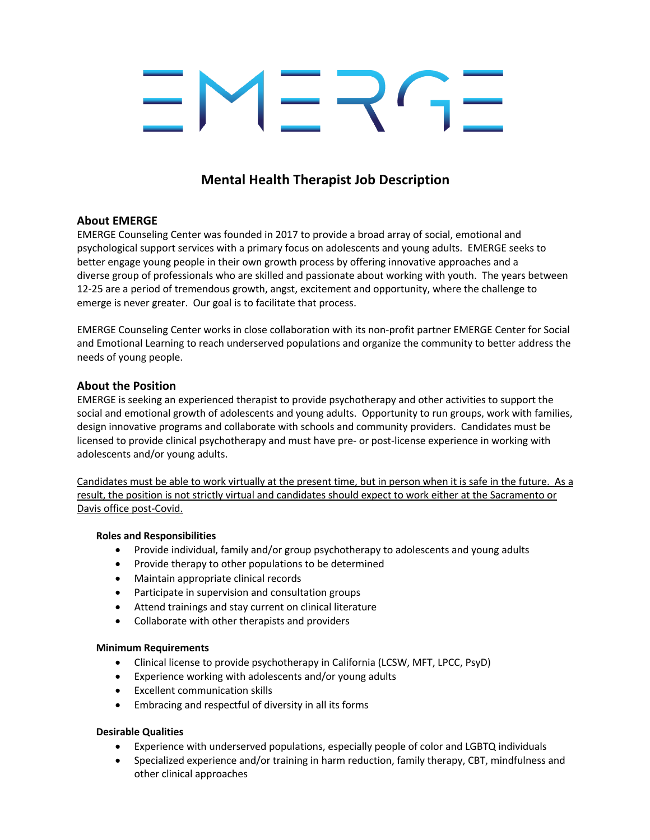# **Mental Health Therapist Job Description**

### **About EMERGE**

EMERGE Counseling Center was founded in 2017 to provide a broad array of social, emotional and psychological support services with a primary focus on adolescents and young adults. EMERGE seeks to better engage young people in their own growth process by offering innovative approaches and a diverse group of professionals who are skilled and passionate about working with youth. The years between 12-25 are a period of tremendous growth, angst, excitement and opportunity, where the challenge to emerge is never greater. Our goal is to facilitate that process.

EMERGE Counseling Center works in close collaboration with its non-profit partner EMERGE Center for Social and Emotional Learning to reach underserved populations and organize the community to better address the needs of young people.

#### **About the Position**

EMERGE is seeking an experienced therapist to provide psychotherapy and other activities to support the social and emotional growth of adolescents and young adults. Opportunity to run groups, work with families, design innovative programs and collaborate with schools and community providers. Candidates must be licensed to provide clinical psychotherapy and must have pre- or post-license experience in working with adolescents and/or young adults.

Candidates must be able to work virtually at the present time, but in person when it is safe in the future. As a result, the position is not strictly virtual and candidates should expect to work either at the Sacramento or Davis office post-Covid.

#### **Roles and Responsibilities**

- Provide individual, family and/or group psychotherapy to adolescents and young adults
- Provide therapy to other populations to be determined
- Maintain appropriate clinical records
- Participate in supervision and consultation groups
- Attend trainings and stay current on clinical literature
- Collaborate with other therapists and providers

#### **Minimum Requirements**

- Clinical license to provide psychotherapy in California (LCSW, MFT, LPCC, PsyD)
- Experience working with adolescents and/or young adults
- Excellent communication skills
- Embracing and respectful of diversity in all its forms

#### **Desirable Qualities**

- Experience with underserved populations, especially people of color and LGBTQ individuals
- Specialized experience and/or training in harm reduction, family therapy, CBT, mindfulness and other clinical approaches